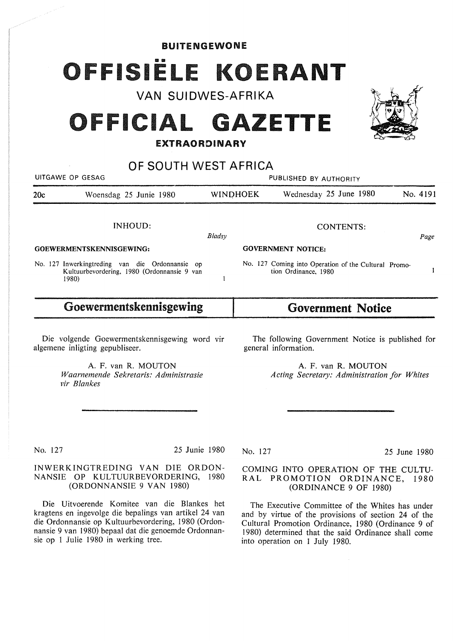# BUITENGEWONE FISIËLE KOERANT

**VAN SUIDWES-AFRIKA** 

# OFFICIAL GAZETTE

## **EXTRAORDINARY**

| OF SOUTH WEST AFRICA     |                                                                                                         |                        |                           |                                                                              |          |
|--------------------------|---------------------------------------------------------------------------------------------------------|------------------------|---------------------------|------------------------------------------------------------------------------|----------|
| UITGAWE OP GESAG         |                                                                                                         | PUBLISHED BY AUTHORITY |                           |                                                                              |          |
| 20c                      | Woensdag 25 Junie 1980                                                                                  |                        | <b>WINDHOEK</b>           | Wednesday 25 June 1980                                                       | No. 4191 |
|                          | INHOUD:                                                                                                 | Bladsy                 |                           | <b>CONTENTS:</b>                                                             | Page     |
| GOEWERMENTSKENNISGEWING: |                                                                                                         |                        | <b>GOVERNMENT NOTICE:</b> |                                                                              |          |
|                          | No. 127 Inwerkingtreding van die Ordonnansie op<br>Kultuurbevordering, 1980 (Ordonnansie 9 van<br>1980) |                        |                           | No. 127 Coming into Operation of the Cultural Promo-<br>tion Ordinance, 1980 |          |
| Goewermentskennisgewing  |                                                                                                         |                        | <b>Government Notice</b>  |                                                                              |          |

Die volgende Goewermentskennisgewing word vir algemene inligting gepubliseer.

> A. F. van **R. MOUTON**  *Waarnemende Sekretaris: Administrasie vir Blankes*

The following Government Notice is published for general information.

> A. F. van **R. MOUTON**  Acting Secretary: Administration for Whites

No. 127 25 Junie 1980

### INWERKINGTREDING VAN DIE ORDON-NANSIE OP KULTUURBEVORDERING, 1980 (ORDONNANSIE 9 VAN 1980)

Die Uitvoerende Komitee van die Blankes het kragtens en ingevolge die bepalings van artikel 24 van die Ordonnansie op Kultuurbevordering, 1980 (Ordonnansie 9 van 1980) bepaal dat die genoemde Ordonnansie op 1 Julie 1980 in werking tree.

No. 127 25 June 1980

### COMING INTO OPERATION OF THE CULTU-R AL PROMOTION ORDINANCE, 1980 (ORDINANCE 9 OF 1980)

The Executive Committee of the Whites has under and by virtue of the provisions of section 24 of the Cultural Promotion Ordinance, 1980 (Ordinance 9 of 1980) determined that the said Ordinance shall come into operation on 1 July 1980.